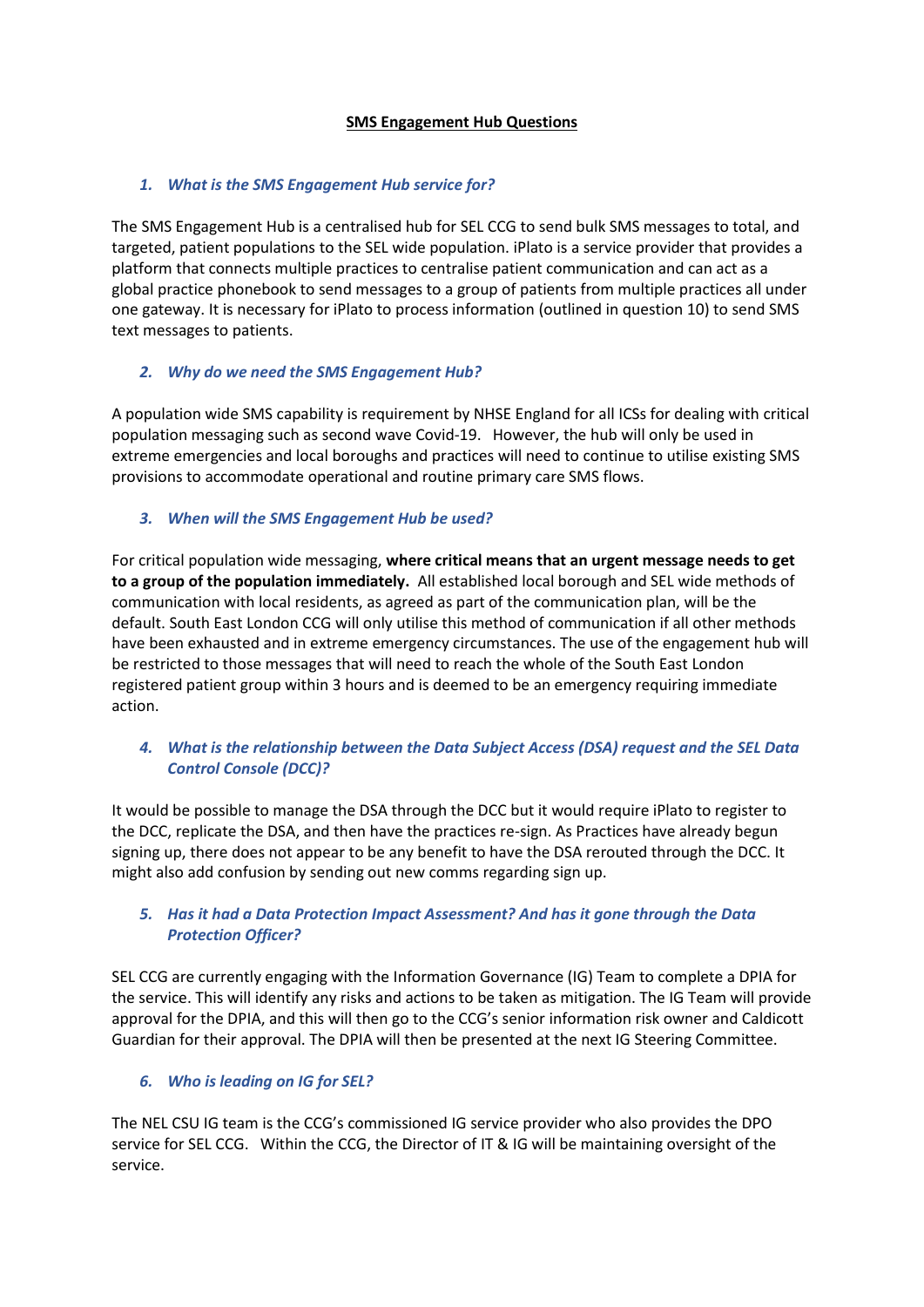#### **SMS Engagement Hub Questions**

## *1. What is the SMS Engagement Hub service for?*

The SMS Engagement Hub is a centralised hub for SEL CCG to send bulk SMS messages to total, and targeted, patient populations to the SEL wide population. iPlato is a service provider that provides a platform that connects multiple practices to centralise patient communication and can act as a global practice phonebook to send messages to a group of patients from multiple practices all under one gateway. It is necessary for iPlato to process information (outlined in question 10) to send SMS text messages to patients.

## *2. Why do we need the SMS Engagement Hub?*

A population wide SMS capability is requirement by NHSE England for all ICSs for dealing with critical population messaging such as second wave Covid-19. However, the hub will only be used in extreme emergencies and local boroughs and practices will need to continue to utilise existing SMS provisions to accommodate operational and routine primary care SMS flows.

## *3. When will the SMS Engagement Hub be used?*

For critical population wide messaging, **where critical means that an urgent message needs to get to a group of the population immediately.** All established local borough and SEL wide methods of communication with local residents, as agreed as part of the communication plan, will be the default. South East London CCG will only utilise this method of communication if all other methods have been exhausted and in extreme emergency circumstances. The use of the engagement hub will be restricted to those messages that will need to reach the whole of the South East London registered patient group within 3 hours and is deemed to be an emergency requiring immediate action.

# *4. What is the relationship between the Data Subject Access (DSA) request and the SEL Data Control Console (DCC)?*

It would be possible to manage the DSA through the DCC but it would require iPlato to register to the DCC, replicate the DSA, and then have the practices re-sign. As Practices have already begun signing up, there does not appear to be any benefit to have the DSA rerouted through the DCC. It might also add confusion by sending out new comms regarding sign up.

# *5. Has it had a Data Protection Impact Assessment? And has it gone through the Data Protection Officer?*

SEL CCG are currently engaging with the Information Governance (IG) Team to complete a DPIA for the service. This will identify any risks and actions to be taken as mitigation. The IG Team will provide approval for the DPIA, and this will then go to the CCG's senior information risk owner and Caldicott Guardian for their approval. The DPIA will then be presented at the next IG Steering Committee.

# *6. Who is leading on IG for SEL?*

The NEL CSU IG team is the CCG's commissioned IG service provider who also provides the DPO service for SEL CCG. Within the CCG, the Director of IT & IG will be maintaining oversight of the service.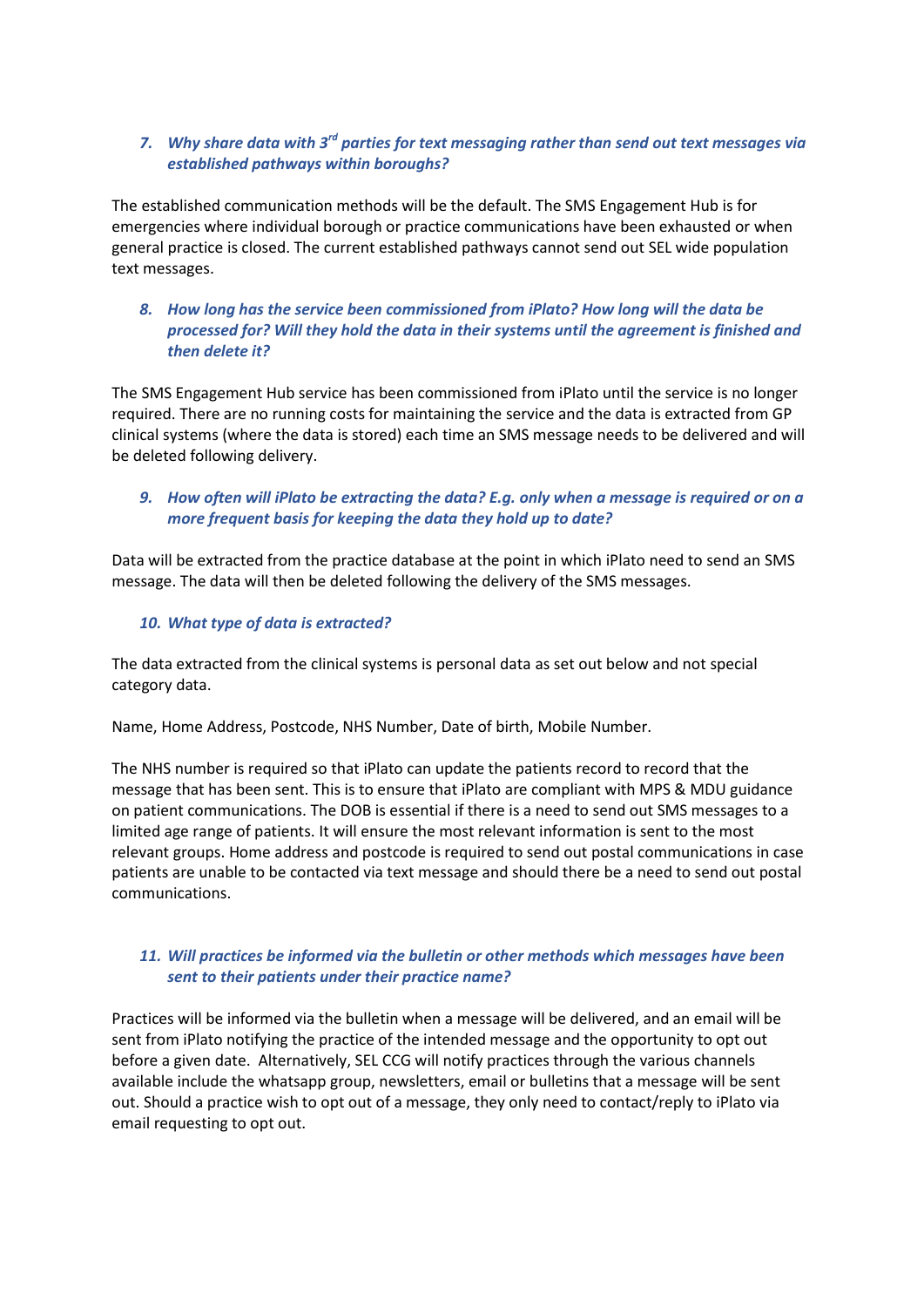# *7. Why share data with 3rd parties for text messaging rather than send out text messages via established pathways within boroughs?*

The established communication methods will be the default. The SMS Engagement Hub is for emergencies where individual borough or practice communications have been exhausted or when general practice is closed. The current established pathways cannot send out SEL wide population text messages.

# *8. How long has the service been commissioned from iPlato? How long will the data be processed for? Will they hold the data in their systems until the agreement is finished and then delete it?*

The SMS Engagement Hub service has been commissioned from iPlato until the service is no longer required. There are no running costs for maintaining the service and the data is extracted from GP clinical systems (where the data is stored) each time an SMS message needs to be delivered and will be deleted following delivery.

## *9. How often will iPlato be extracting the data? E.g. only when a message is required or on a more frequent basis for keeping the data they hold up to date?*

Data will be extracted from the practice database at the point in which iPlato need to send an SMS message. The data will then be deleted following the delivery of the SMS messages.

## *10. What type of data is extracted?*

The data extracted from the clinical systems is personal data as set out below and not special category data.

Name, Home Address, Postcode, NHS Number, Date of birth, Mobile Number.

The NHS number is required so that iPlato can update the patients record to record that the message that has been sent. This is to ensure that iPlato are compliant with MPS & MDU guidance on patient communications. The DOB is essential if there is a need to send out SMS messages to a limited age range of patients. It will ensure the most relevant information is sent to the most relevant groups. Home address and postcode is required to send out postal communications in case patients are unable to be contacted via text message and should there be a need to send out postal communications.

#### *11. Will practices be informed via the bulletin or other methods which messages have been sent to their patients under their practice name?*

Practices will be informed via the bulletin when a message will be delivered, and an email will be sent from iPlato notifying the practice of the intended message and the opportunity to opt out before a given date. Alternatively, SEL CCG will notify practices through the various channels available include the whatsapp group, newsletters, email or bulletins that a message will be sent out. Should a practice wish to opt out of a message, they only need to contact/reply to iPlato via email requesting to opt out.